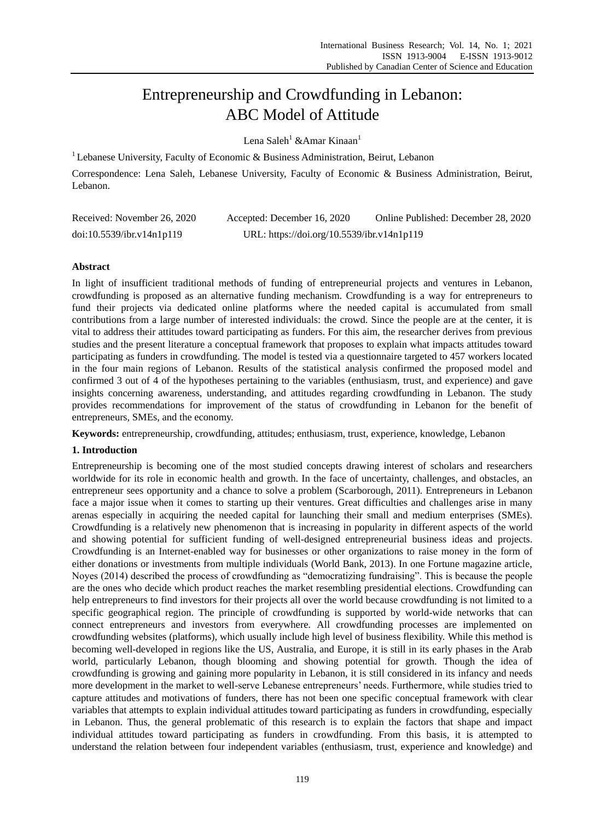# Entrepreneurship and Crowdfunding in Lebanon: ABC Model of Attitude

Lena Saleh<sup>1</sup> & Amar Kinaan<sup>1</sup>

<sup>1</sup> Lebanese University, Faculty of Economic & Business Administration, Beirut, Lebanon

Correspondence: Lena Saleh, Lebanese University, Faculty of Economic & Business Administration, Beirut, Lebanon.

| Received: November 26, 2020 | Accepted: December 16, 2020                | Online Published: December 28, 2020 |
|-----------------------------|--------------------------------------------|-------------------------------------|
| doi:10.5539/ibr.v14n1p119   | URL: https://doi.org/10.5539/ibr.v14n1p119 |                                     |

# **Abstract**

In light of insufficient traditional methods of funding of entrepreneurial projects and ventures in Lebanon, crowdfunding is proposed as an alternative funding mechanism. Crowdfunding is a way for entrepreneurs to fund their projects via dedicated online platforms where the needed capital is accumulated from small contributions from a large number of interested individuals: the crowd. Since the people are at the center, it is vital to address their attitudes toward participating as funders. For this aim, the researcher derives from previous studies and the present literature a conceptual framework that proposes to explain what impacts attitudes toward participating as funders in crowdfunding. The model is tested via a questionnaire targeted to 457 workers located in the four main regions of Lebanon. Results of the statistical analysis confirmed the proposed model and confirmed 3 out of 4 of the hypotheses pertaining to the variables (enthusiasm, trust, and experience) and gave insights concerning awareness, understanding, and attitudes regarding crowdfunding in Lebanon. The study provides recommendations for improvement of the status of crowdfunding in Lebanon for the benefit of entrepreneurs, SMEs, and the economy.

**Keywords:** entrepreneurship, crowdfunding, attitudes; enthusiasm, trust, experience, knowledge, Lebanon

# **1. Introduction**

Entrepreneurship is becoming one of the most studied concepts drawing interest of scholars and researchers worldwide for its role in economic health and growth. In the face of uncertainty, challenges, and obstacles, an entrepreneur sees opportunity and a chance to solve a problem (Scarborough, 2011). Entrepreneurs in Lebanon face a major issue when it comes to starting up their ventures. Great difficulties and challenges arise in many arenas especially in acquiring the needed capital for launching their small and medium enterprises (SMEs). Crowdfunding is a relatively new phenomenon that is increasing in popularity in different aspects of the world and showing potential for sufficient funding of well-designed entrepreneurial business ideas and projects. Crowdfunding is an Internet-enabled way for businesses or other organizations to raise money in the form of either donations or investments from multiple individuals (World Bank, 2013). In one Fortune magazine article, Noyes (2014) described the process of crowdfunding as "democratizing fundraising". This is because the people are the ones who decide which product reaches the market resembling presidential elections. Crowdfunding can help entrepreneurs to find investors for their projects all over the world because crowdfunding is not limited to a specific geographical region. The principle of crowdfunding is supported by world-wide networks that can connect entrepreneurs and investors from everywhere. All crowdfunding processes are implemented on crowdfunding websites (platforms), which usually include high level of business flexibility. While this method is becoming well-developed in regions like the US, Australia, and Europe, it is still in its early phases in the Arab world, particularly Lebanon, though blooming and showing potential for growth. Though the idea of crowdfunding is growing and gaining more popularity in Lebanon, it is still considered in its infancy and needs more development in the market to well-serve Lebanese entrepreneurs' needs. Furthermore, while studies tried to capture attitudes and motivations of funders, there has not been one specific conceptual framework with clear variables that attempts to explain individual attitudes toward participating as funders in crowdfunding, especially in Lebanon. Thus, the general problematic of this research is to explain the factors that shape and impact individual attitudes toward participating as funders in crowdfunding. From this basis, it is attempted to understand the relation between four independent variables (enthusiasm, trust, experience and knowledge) and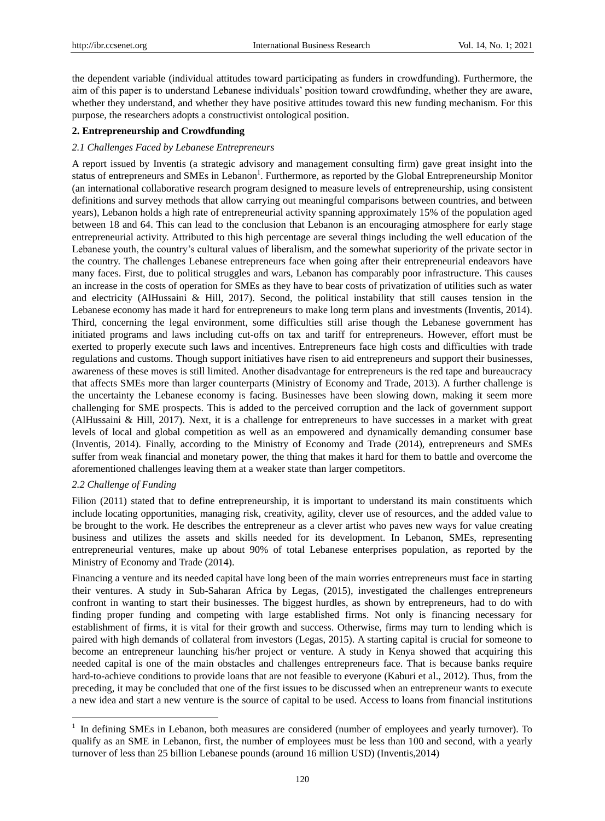the dependent variable (individual attitudes toward participating as funders in crowdfunding). Furthermore, the aim of this paper is to understand Lebanese individuals' position toward crowdfunding, whether they are aware, whether they understand, and whether they have positive attitudes toward this new funding mechanism. For this purpose, the researchers adopts a constructivist ontological position.

### **2. Entrepreneurship and Crowdfunding**

## *2.1 Challenges Faced by Lebanese Entrepreneurs*

A report issued by Inventis (a strategic advisory and management consulting firm) gave great insight into the status of entrepreneurs and SMEs in Lebanon<sup>1</sup>. Furthermore, as reported by the Global Entrepreneurship Monitor (an international collaborative research program designed to measure levels of entrepreneurship, using consistent definitions and survey methods that allow carrying out meaningful comparisons between countries, and between years), Lebanon holds a high rate of entrepreneurial activity spanning approximately 15% of the population aged between 18 and 64. This can lead to the conclusion that Lebanon is an encouraging atmosphere for early stage entrepreneurial activity. Attributed to this high percentage are several things including the well education of the Lebanese youth, the country's cultural values of liberalism, and the somewhat superiority of the private sector in the country. The challenges Lebanese entrepreneurs face when going after their entrepreneurial endeavors have many faces. First, due to political struggles and wars, Lebanon has comparably poor infrastructure. This causes an increase in the costs of operation for SMEs as they have to bear costs of privatization of utilities such as water and electricity (AlHussaini & Hill, 2017). Second, the political instability that still causes tension in the Lebanese economy has made it hard for entrepreneurs to make long term plans and investments (Inventis, 2014). Third, concerning the legal environment, some difficulties still arise though the Lebanese government has initiated programs and laws including cut-offs on tax and tariff for entrepreneurs. However, effort must be exerted to properly execute such laws and incentives. Entrepreneurs face high costs and difficulties with trade regulations and customs. Though support initiatives have risen to aid entrepreneurs and support their businesses, awareness of these moves is still limited. Another disadvantage for entrepreneurs is the red tape and bureaucracy that affects SMEs more than larger counterparts (Ministry of Economy and Trade, 2013). A further challenge is the uncertainty the Lebanese economy is facing. Businesses have been slowing down, making it seem more challenging for SME prospects. This is added to the perceived corruption and the lack of government support (AlHussaini & Hill, 2017). Next, it is a challenge for entrepreneurs to have successes in a market with great levels of local and global competition as well as an empowered and dynamically demanding consumer base (Inventis, 2014). Finally, according to the Ministry of Economy and Trade (2014), entrepreneurs and SMEs suffer from weak financial and monetary power, the thing that makes it hard for them to battle and overcome the aforementioned challenges leaving them at a weaker state than larger competitors.

#### *2.2 Challenge of Funding*

-

Filion (2011) stated that to define entrepreneurship, it is important to understand its main constituents which include locating opportunities, managing risk, creativity, agility, clever use of resources, and the added value to be brought to the work. He describes the entrepreneur as a clever artist who paves new ways for value creating business and utilizes the assets and skills needed for its development. In Lebanon, SMEs, representing entrepreneurial ventures, make up about 90% of total Lebanese enterprises population, as reported by the Ministry of Economy and Trade (2014).

Financing a venture and its needed capital have long been of the main worries entrepreneurs must face in starting their ventures. A study in Sub-Saharan Africa by Legas, (2015), investigated the challenges entrepreneurs confront in wanting to start their businesses. The biggest hurdles, as shown by entrepreneurs, had to do with finding proper funding and competing with large established firms. Not only is financing necessary for establishment of firms, it is vital for their growth and success. Otherwise, firms may turn to lending which is paired with high demands of collateral from investors (Legas, 2015). A starting capital is crucial for someone to become an entrepreneur launching his/her project or venture. A study in Kenya showed that acquiring this needed capital is one of the main obstacles and challenges entrepreneurs face. That is because banks require hard-to-achieve conditions to provide loans that are not feasible to everyone (Kaburi et al., 2012). Thus, from the preceding, it may be concluded that one of the first issues to be discussed when an entrepreneur wants to execute a new idea and start a new venture is the source of capital to be used. Access to loans from financial institutions

<sup>&</sup>lt;sup>1</sup> In defining SMEs in Lebanon, both measures are considered (number of employees and yearly turnover). To qualify as an SME in Lebanon, first, the number of employees must be less than 100 and second, with a yearly turnover of less than 25 billion Lebanese pounds (around 16 million USD) (Inventis,2014)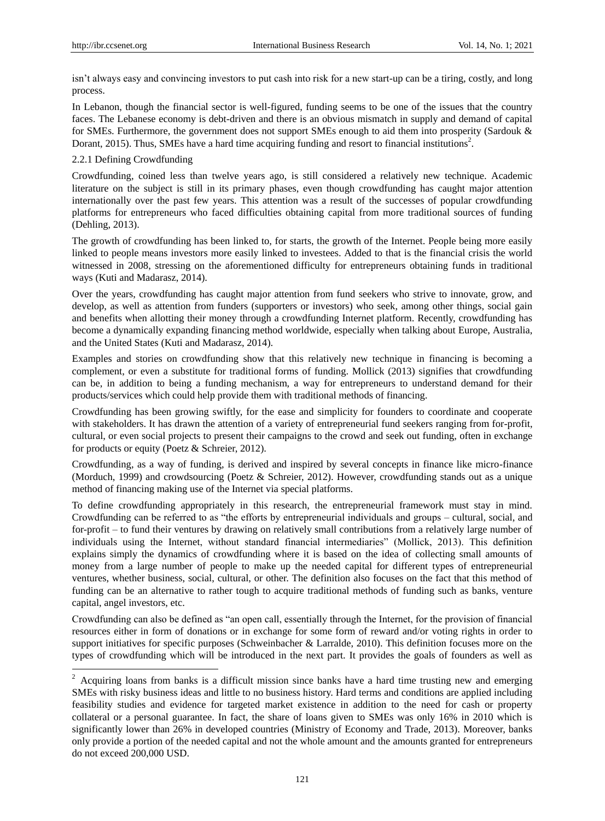isn't always easy and convincing investors to put cash into risk for a new start-up can be a tiring, costly, and long process.

In Lebanon, though the financial sector is well-figured, funding seems to be one of the issues that the country faces. The Lebanese economy is debt-driven and there is an obvious mismatch in supply and demand of capital for SMEs. Furthermore, the government does not support SMEs enough to aid them into prosperity (Sardouk & Dorant, 2015). Thus, SMEs have a hard time acquiring funding and resort to financial institutions<sup>2</sup>.

# 2.2.1 Defining Crowdfunding

-

Crowdfunding, coined less than twelve years ago, is still considered a relatively new technique. Academic literature on the subject is still in its primary phases, even though crowdfunding has caught major attention internationally over the past few years. This attention was a result of the successes of popular crowdfunding platforms for entrepreneurs who faced difficulties obtaining capital from more traditional sources of funding (Dehling, 2013).

The growth of crowdfunding has been linked to, for starts, the growth of the Internet. People being more easily linked to people means investors more easily linked to investees. Added to that is the financial crisis the world witnessed in 2008, stressing on the aforementioned difficulty for entrepreneurs obtaining funds in traditional ways (Kuti and Madarasz, 2014).

Over the years, crowdfunding has caught major attention from fund seekers who strive to innovate, grow, and develop, as well as attention from funders (supporters or investors) who seek, among other things, social gain and benefits when allotting their money through a crowdfunding Internet platform. Recently, crowdfunding has become a dynamically expanding financing method worldwide, especially when talking about Europe, Australia, and the United States (Kuti and Madarasz, 2014).

Examples and stories on crowdfunding show that this relatively new technique in financing is becoming a complement, or even a substitute for traditional forms of funding. Mollick (2013) signifies that crowdfunding can be, in addition to being a funding mechanism, a way for entrepreneurs to understand demand for their products/services which could help provide them with traditional methods of financing.

Crowdfunding has been growing swiftly, for the ease and simplicity for founders to coordinate and cooperate with stakeholders. It has drawn the attention of a variety of entrepreneurial fund seekers ranging from for-profit, cultural, or even social projects to present their campaigns to the crowd and seek out funding, often in exchange for products or equity (Poetz & Schreier, 2012).

Crowdfunding, as a way of funding, is derived and inspired by several concepts in finance like micro-finance (Morduch, 1999) and crowdsourcing (Poetz & Schreier, 2012). However, crowdfunding stands out as a unique method of financing making use of the Internet via special platforms.

To define crowdfunding appropriately in this research, the entrepreneurial framework must stay in mind. Crowdfunding can be referred to as "the efforts by entrepreneurial individuals and groups – cultural, social, and for-profit – to fund their ventures by drawing on relatively small contributions from a relatively large number of individuals using the Internet, without standard financial intermediaries" (Mollick, 2013). This definition explains simply the dynamics of crowdfunding where it is based on the idea of collecting small amounts of money from a large number of people to make up the needed capital for different types of entrepreneurial ventures, whether business, social, cultural, or other. The definition also focuses on the fact that this method of funding can be an alternative to rather tough to acquire traditional methods of funding such as banks, venture capital, angel investors, etc.

Crowdfunding can also be defined as "an open call, essentially through the Internet, for the provision of financial resources either in form of donations or in exchange for some form of reward and/or voting rights in order to support initiatives for specific purposes (Schweinbacher & Larralde, 2010). This definition focuses more on the types of crowdfunding which will be introduced in the next part. It provides the goals of founders as well as

<sup>&</sup>lt;sup>2</sup> Acquiring loans from banks is a difficult mission since banks have a hard time trusting new and emerging SMEs with risky business ideas and little to no business history. Hard terms and conditions are applied including feasibility studies and evidence for targeted market existence in addition to the need for cash or property collateral or a personal guarantee. In fact, the share of loans given to SMEs was only 16% in 2010 which is significantly lower than 26% in developed countries (Ministry of Economy and Trade, 2013). Moreover, banks only provide a portion of the needed capital and not the whole amount and the amounts granted for entrepreneurs do not exceed 200,000 USD.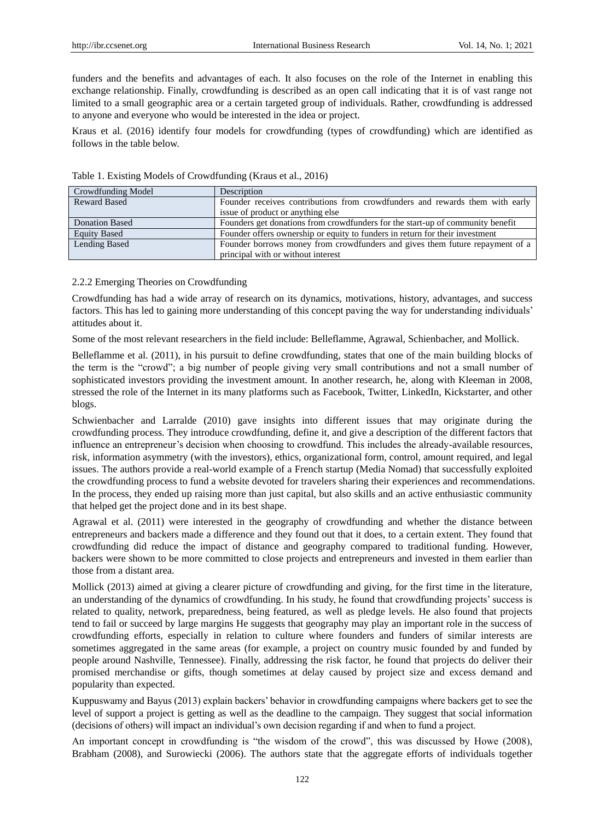funders and the benefits and advantages of each. It also focuses on the role of the Internet in enabling this exchange relationship. Finally, crowdfunding is described as an open call indicating that it is of vast range not limited to a small geographic area or a certain targeted group of individuals. Rather, crowdfunding is addressed to anyone and everyone who would be interested in the idea or project.

Kraus et al. (2016) identify four models for crowdfunding (types of crowdfunding) which are identified as follows in the table below.

| Crowdfunding Model    | Description                                                                    |
|-----------------------|--------------------------------------------------------------------------------|
| <b>Reward Based</b>   | Founder receives contributions from crowdfunders and rewards them with early   |
|                       | issue of product or anything else                                              |
| <b>Donation Based</b> | Founders get donations from crowdfunders for the start-up of community benefit |
| <b>Equity Based</b>   | Founder offers ownership or equity to funders in return for their investment   |
| <b>Lending Based</b>  | Founder borrows money from crowdfunders and gives them future repayment of a   |
|                       | principal with or without interest                                             |

Table 1. Existing Models of Crowdfunding (Kraus et al., 2016)

## 2.2.2 Emerging Theories on Crowdfunding

Crowdfunding has had a wide array of research on its dynamics, motivations, history, advantages, and success factors. This has led to gaining more understanding of this concept paving the way for understanding individuals' attitudes about it.

Some of the most relevant researchers in the field include: Belleflamme, Agrawal, Schienbacher, and Mollick.

Belleflamme et al. (2011), in his pursuit to define crowdfunding, states that one of the main building blocks of the term is the "crowd"; a big number of people giving very small contributions and not a small number of sophisticated investors providing the investment amount. In another research, he, along with Kleeman in 2008, stressed the role of the Internet in its many platforms such as Facebook, Twitter, LinkedIn, Kickstarter, and other blogs.

Schwienbacher and Larralde (2010) gave insights into different issues that may originate during the crowdfunding process. They introduce crowdfunding, define it, and give a description of the different factors that influence an entrepreneur's decision when choosing to crowdfund. This includes the already-available resources, risk, information asymmetry (with the investors), ethics, organizational form, control, amount required, and legal issues. The authors provide a real-world example of a French startup (Media Nomad) that successfully exploited the crowdfunding process to fund a website devoted for travelers sharing their experiences and recommendations. In the process, they ended up raising more than just capital, but also skills and an active enthusiastic community that helped get the project done and in its best shape.

Agrawal et al. (2011) were interested in the geography of crowdfunding and whether the distance between entrepreneurs and backers made a difference and they found out that it does, to a certain extent. They found that crowdfunding did reduce the impact of distance and geography compared to traditional funding. However, backers were shown to be more committed to close projects and entrepreneurs and invested in them earlier than those from a distant area.

Mollick (2013) aimed at giving a clearer picture of crowdfunding and giving, for the first time in the literature, an understanding of the dynamics of crowdfunding. In his study, he found that crowdfunding projects' success is related to quality, network, preparedness, being featured, as well as pledge levels. He also found that projects tend to fail or succeed by large margins He suggests that geography may play an important role in the success of crowdfunding efforts, especially in relation to culture where founders and funders of similar interests are sometimes aggregated in the same areas (for example, a project on country music founded by and funded by people around Nashville, Tennessee). Finally, addressing the risk factor, he found that projects do deliver their promised merchandise or gifts, though sometimes at delay caused by project size and excess demand and popularity than expected.

Kuppuswamy and Bayus (2013) explain backers' behavior in crowdfunding campaigns where backers get to see the level of support a project is getting as well as the deadline to the campaign. They suggest that social information (decisions of others) will impact an individual's own decision regarding if and when to fund a project.

An important concept in crowdfunding is "the wisdom of the crowd", this was discussed by Howe (2008), Brabham (2008), and Surowiecki (2006). The authors state that the aggregate efforts of individuals together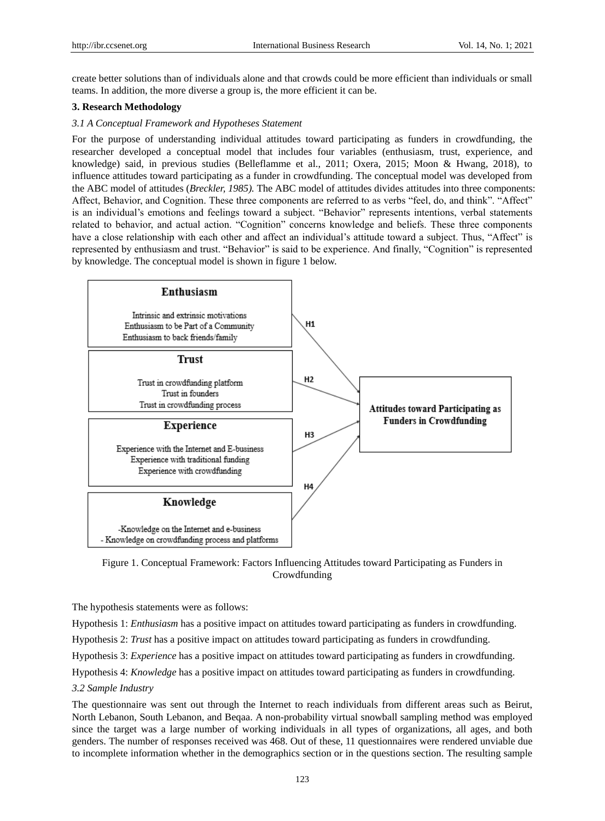create better solutions than of individuals alone and that crowds could be more efficient than individuals or small teams. In addition, the more diverse a group is, the more efficient it can be.

# **3. Research Methodology**

# *3.1 A Conceptual Framework and Hypotheses Statement*

For the purpose of understanding individual attitudes toward participating as funders in crowdfunding, the researcher developed a conceptual model that includes four variables (enthusiasm, trust, experience, and knowledge) said, in previous studies (Belleflamme et al., 2011; Oxera, 2015; Moon & Hwang, 2018), to influence attitudes toward participating as a funder in crowdfunding. The conceptual model was developed from the ABC model of attitudes (*Breckler, 1985).* The ABC model of attitudes divides attitudes into three components: Affect, Behavior, and Cognition. These three components are referred to as verbs "feel, do, and think". "Affect" is an individual's emotions and feelings toward a subject. "Behavior" represents intentions, verbal statements related to behavior, and actual action. "Cognition" concerns knowledge and beliefs. These three components have a close relationship with each other and affect an individual's attitude toward a subject. Thus, "Affect" is represented by enthusiasm and trust. "Behavior" is said to be experience. And finally, "Cognition" is represented by knowledge. The conceptual model is shown in figure 1 below.



Figure 1. Conceptual Framework: Factors Influencing Attitudes toward Participating as Funders in Crowdfunding

The hypothesis statements were as follows:

Hypothesis 1: *Enthusiasm* has a positive impact on attitudes toward participating as funders in crowdfunding.

Hypothesis 2: *Trust* has a positive impact on attitudes toward participating as funders in crowdfunding.

Hypothesis 3: *Experience* has a positive impact on attitudes toward participating as funders in crowdfunding.

Hypothesis 4: *Knowledge* has a positive impact on attitudes toward participating as funders in crowdfunding.

# *3.2 Sample Industry*

The questionnaire was sent out through the Internet to reach individuals from different areas such as Beirut, North Lebanon, South Lebanon, and Beqaa. A non-probability virtual snowball sampling method was employed since the target was a large number of working individuals in all types of organizations, all ages, and both genders. The number of responses received was 468. Out of these, 11 questionnaires were rendered unviable due to incomplete information whether in the demographics section or in the questions section. The resulting sample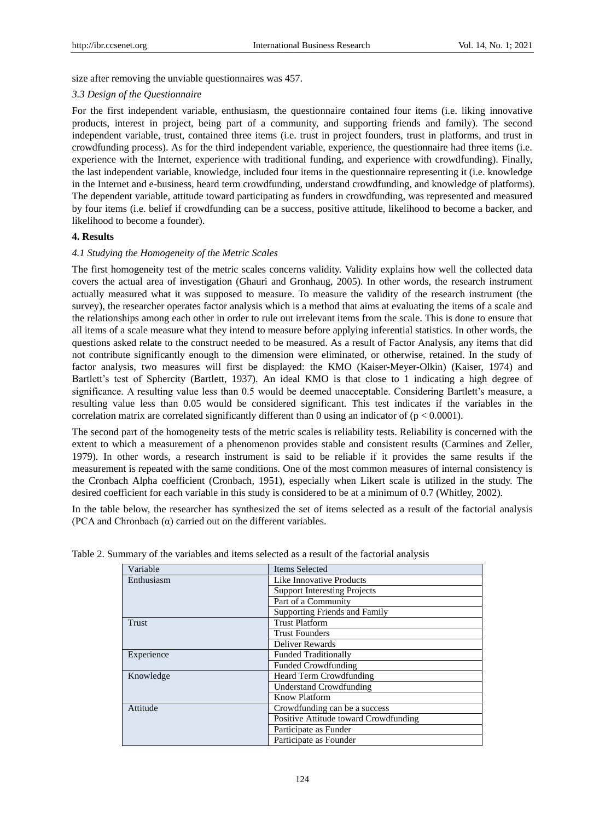size after removing the unviable questionnaires was 457.

#### *3.3 Design of the Questionnaire*

For the first independent variable, enthusiasm, the questionnaire contained four items (i.e. liking innovative products, interest in project, being part of a community, and supporting friends and family). The second independent variable, trust, contained three items (i.e. trust in project founders, trust in platforms, and trust in crowdfunding process). As for the third independent variable, experience, the questionnaire had three items (i.e. experience with the Internet, experience with traditional funding, and experience with crowdfunding). Finally, the last independent variable, knowledge, included four items in the questionnaire representing it (i.e. knowledge in the Internet and e-business, heard term crowdfunding, understand crowdfunding, and knowledge of platforms). The dependent variable, attitude toward participating as funders in crowdfunding, was represented and measured by four items (i.e. belief if crowdfunding can be a success, positive attitude, likelihood to become a backer, and likelihood to become a founder).

# **4. Results**

#### *4.1 Studying the Homogeneity of the Metric Scales*

The first homogeneity test of the metric scales concerns validity. Validity explains how well the collected data covers the actual area of investigation (Ghauri and Gronhaug, 2005). In other words, the research instrument actually measured what it was supposed to measure. To measure the validity of the research instrument (the survey), the researcher operates factor analysis which is a method that aims at evaluating the items of a scale and the relationships among each other in order to rule out irrelevant items from the scale. This is done to ensure that all items of a scale measure what they intend to measure before applying inferential statistics. In other words, the questions asked relate to the construct needed to be measured. As a result of Factor Analysis, any items that did not contribute significantly enough to the dimension were eliminated, or otherwise, retained. In the study of factor analysis, two measures will first be displayed: the KMO (Kaiser-Meyer-Olkin) (Kaiser, 1974) and Bartlett's test of Sphercity (Bartlett, 1937). An ideal KMO is that close to 1 indicating a high degree of significance. A resulting value less than 0.5 would be deemed unacceptable. Considering Bartlett's measure, a resulting value less than 0.05 would be considered significant. This test indicates if the variables in the correlation matrix are correlated significantly different than 0 using an indicator of ( $p < 0.0001$ ).

The second part of the homogeneity tests of the metric scales is reliability tests. Reliability is concerned with the extent to which a measurement of a phenomenon provides stable and consistent results (Carmines and Zeller, 1979). In other words, a research instrument is said to be reliable if it provides the same results if the measurement is repeated with the same conditions. One of the most common measures of internal consistency is the Cronbach Alpha coefficient (Cronbach, 1951), especially when Likert scale is utilized in the study. The desired coefficient for each variable in this study is considered to be at a minimum of 0.7 (Whitley, 2002).

In the table below, the researcher has synthesized the set of items selected as a result of the factorial analysis (PCA and Chronbach  $(\alpha)$  carried out on the different variables.

| Variable   | Items Selected                        |  |  |
|------------|---------------------------------------|--|--|
| Enthusiasm | Like Innovative Products              |  |  |
|            | <b>Support Interesting Projects</b>   |  |  |
|            | Part of a Community                   |  |  |
|            | <b>Supporting Friends and Family</b>  |  |  |
| Trust      | <b>Trust Platform</b>                 |  |  |
|            | <b>Trust Founders</b>                 |  |  |
|            | Deliver Rewards                       |  |  |
| Experience | <b>Funded Traditionally</b>           |  |  |
|            | <b>Funded Crowdfunding</b>            |  |  |
| Knowledge  | Heard Term Crowdfunding               |  |  |
|            | <b>Understand Crowdfunding</b>        |  |  |
|            | <b>Know Platform</b>                  |  |  |
| Attitude   | Crowdfunding can be a success         |  |  |
|            | Positive Attitude toward Crowdfunding |  |  |
|            | Participate as Funder                 |  |  |
|            | Participate as Founder                |  |  |

Table 2. Summary of the variables and items selected as a result of the factorial analysis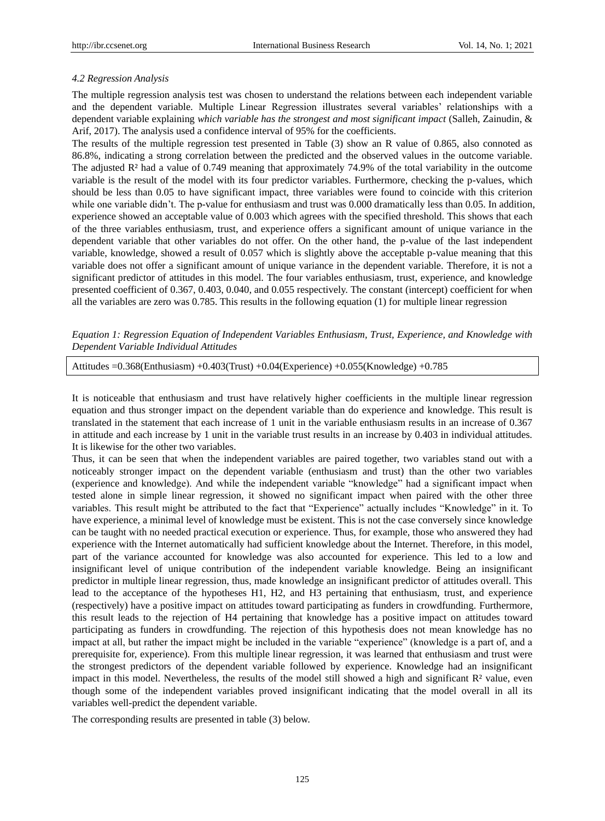#### *4.2 Regression Analysis*

The multiple regression analysis test was chosen to understand the relations between each independent variable and the dependent variable. Multiple Linear Regression illustrates several variables' relationships with a dependent variable explaining *which variable has the strongest and most significant impact* (Salleh, Zainudin, & Arif, 2017). The analysis used a confidence interval of 95% for the coefficients.

The results of the multiple regression test presented in Table (3) show an R value of 0.865, also connoted as 86.8%, indicating a strong correlation between the predicted and the observed values in the outcome variable. The adjusted R² had a value of 0.749 meaning that approximately 74.9% of the total variability in the outcome variable is the result of the model with its four predictor variables. Furthermore, checking the p-values, which should be less than 0.05 to have significant impact, three variables were found to coincide with this criterion while one variable didn't. The p-value for enthusiasm and trust was 0.000 dramatically less than 0.05. In addition, experience showed an acceptable value of 0.003 which agrees with the specified threshold. This shows that each of the three variables enthusiasm, trust, and experience offers a significant amount of unique variance in the dependent variable that other variables do not offer. On the other hand, the p-value of the last independent variable, knowledge, showed a result of 0.057 which is slightly above the acceptable p-value meaning that this variable does not offer a significant amount of unique variance in the dependent variable. Therefore, it is not a significant predictor of attitudes in this model. The four variables enthusiasm, trust, experience, and knowledge presented coefficient of 0.367, 0.403, 0.040, and 0.055 respectively. The constant (intercept) coefficient for when all the variables are zero was 0.785. This results in the following equation (1) for multiple linear regression

*Equation 1: Regression Equation of Independent Variables Enthusiasm, Trust, Experience, and Knowledge with Dependent Variable Individual Attitudes*

Attitudes  $=0.368$ (Enthusiasm) +0.403(Trust) +0.04(Experience) +0.055(Knowledge) +0.785

It is noticeable that enthusiasm and trust have relatively higher coefficients in the multiple linear regression equation and thus stronger impact on the dependent variable than do experience and knowledge. This result is translated in the statement that each increase of 1 unit in the variable enthusiasm results in an increase of 0.367 in attitude and each increase by 1 unit in the variable trust results in an increase by 0.403 in individual attitudes. It is likewise for the other two variables.

Thus, it can be seen that when the independent variables are paired together, two variables stand out with a noticeably stronger impact on the dependent variable (enthusiasm and trust) than the other two variables (experience and knowledge). And while the independent variable "knowledge" had a significant impact when tested alone in simple linear regression, it showed no significant impact when paired with the other three variables. This result might be attributed to the fact that "Experience" actually includes "Knowledge" in it. To have experience, a minimal level of knowledge must be existent. This is not the case conversely since knowledge can be taught with no needed practical execution or experience. Thus, for example, those who answered they had experience with the Internet automatically had sufficient knowledge about the Internet. Therefore, in this model, part of the variance accounted for knowledge was also accounted for experience. This led to a low and insignificant level of unique contribution of the independent variable knowledge. Being an insignificant predictor in multiple linear regression, thus, made knowledge an insignificant predictor of attitudes overall. This lead to the acceptance of the hypotheses H1, H2, and H3 pertaining that enthusiasm, trust, and experience (respectively) have a positive impact on attitudes toward participating as funders in crowdfunding. Furthermore, this result leads to the rejection of H4 pertaining that knowledge has a positive impact on attitudes toward participating as funders in crowdfunding. The rejection of this hypothesis does not mean knowledge has no impact at all, but rather the impact might be included in the variable "experience" (knowledge is a part of, and a prerequisite for, experience). From this multiple linear regression, it was learned that enthusiasm and trust were the strongest predictors of the dependent variable followed by experience. Knowledge had an insignificant impact in this model. Nevertheless, the results of the model still showed a high and significant  $R^2$ value, even though some of the independent variables proved insignificant indicating that the model overall in all its variables well-predict the dependent variable.

The corresponding results are presented in table (3) below.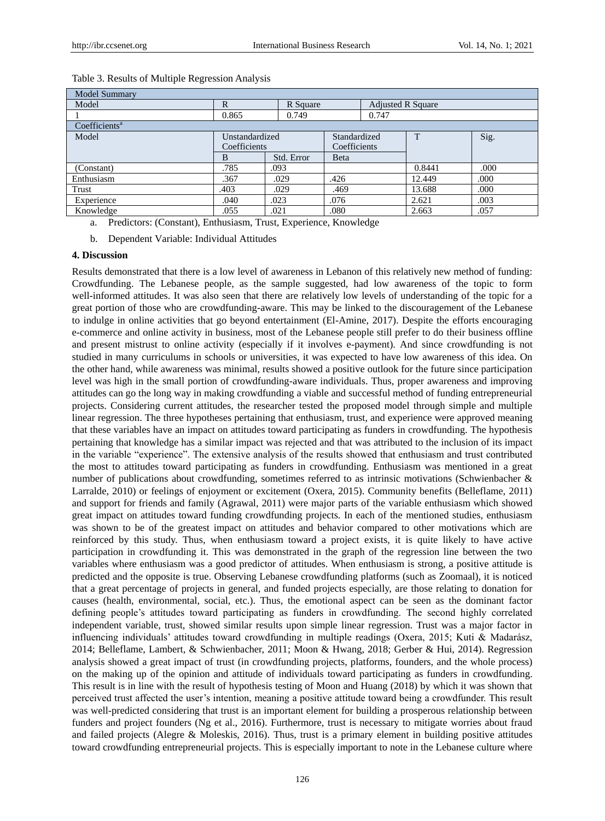| <b>Model Summary</b>      |                                                |            |              |   |                          |      |  |  |
|---------------------------|------------------------------------------------|------------|--------------|---|--------------------------|------|--|--|
| Model                     | R                                              | R Square   |              |   | <b>Adjusted R Square</b> |      |  |  |
|                           | 0.865                                          | 0.749      |              |   | 0.747                    |      |  |  |
| Coefficients <sup>a</sup> |                                                |            |              |   |                          |      |  |  |
| Model                     | Unstandardized<br>Standardized<br>Coefficients |            |              | T | Sig.                     |      |  |  |
|                           |                                                |            | Coefficients |   |                          |      |  |  |
|                           | <sub>B</sub>                                   | Std. Error | Beta         |   |                          |      |  |  |
| (Constant)                | .785                                           | .093       |              |   | 0.8441                   | .000 |  |  |
| Enthusiasm                | .367                                           | .029       | .426         |   | 12.449                   | .000 |  |  |
| Trust                     | .403                                           | .029       | .469         |   | 13.688                   | .000 |  |  |
| Experience                | .040                                           | .023       | .076         |   | 2.621                    | .003 |  |  |
| Knowledge                 | .055                                           | .021       | .080         |   | 2.663                    | .057 |  |  |

# Table 3. Results of Multiple Regression Analysis

a. Predictors: (Constant), Enthusiasm, Trust, Experience, Knowledge

b. Dependent Variable: Individual Attitudes

### **4. Discussion**

Results demonstrated that there is a low level of awareness in Lebanon of this relatively new method of funding: Crowdfunding. The Lebanese people, as the sample suggested, had low awareness of the topic to form well-informed attitudes. It was also seen that there are relatively low levels of understanding of the topic for a great portion of those who are crowdfunding-aware. This may be linked to the discouragement of the Lebanese to indulge in online activities that go beyond entertainment (El-Amine, 2017). Despite the efforts encouraging e-commerce and online activity in business, most of the Lebanese people still prefer to do their business offline and present mistrust to online activity (especially if it involves e-payment). And since crowdfunding is not studied in many curriculums in schools or universities, it was expected to have low awareness of this idea. On the other hand, while awareness was minimal, results showed a positive outlook for the future since participation level was high in the small portion of crowdfunding-aware individuals. Thus, proper awareness and improving attitudes can go the long way in making crowdfunding a viable and successful method of funding entrepreneurial projects. Considering current attitudes, the researcher tested the proposed model through simple and multiple linear regression. The three hypotheses pertaining that enthusiasm, trust, and experience were approved meaning that these variables have an impact on attitudes toward participating as funders in crowdfunding. The hypothesis pertaining that knowledge has a similar impact was rejected and that was attributed to the inclusion of its impact in the variable "experience". The extensive analysis of the results showed that enthusiasm and trust contributed the most to attitudes toward participating as funders in crowdfunding. Enthusiasm was mentioned in a great number of publications about crowdfunding, sometimes referred to as intrinsic motivations (Schwienbacher & Larralde, 2010) or feelings of enjoyment or excitement (Oxera, 2015). Community benefits (Belleflame, 2011) and support for friends and family (Agrawal, 2011) were major parts of the variable enthusiasm which showed great impact on attitudes toward funding crowdfunding projects. In each of the mentioned studies, enthusiasm was shown to be of the greatest impact on attitudes and behavior compared to other motivations which are reinforced by this study. Thus, when enthusiasm toward a project exists, it is quite likely to have active participation in crowdfunding it. This was demonstrated in the graph of the regression line between the two variables where enthusiasm was a good predictor of attitudes. When enthusiasm is strong, a positive attitude is predicted and the opposite is true. Observing Lebanese crowdfunding platforms (such as Zoomaal), it is noticed that a great percentage of projects in general, and funded projects especially, are those relating to donation for causes (health, environmental, social, etc.). Thus, the emotional aspect can be seen as the dominant factor defining people's attitudes toward participating as funders in crowdfunding. The second highly correlated independent variable, trust, showed similar results upon simple linear regression. Trust was a major factor in influencing individuals' attitudes toward crowdfunding in multiple readings (Oxera, 2015; Kuti & Madarász, 2014; Belleflame, Lambert, & Schwienbacher, 2011; Moon & Hwang, 2018; Gerber & Hui, 2014). Regression analysis showed a great impact of trust (in crowdfunding projects, platforms, founders, and the whole process) on the making up of the opinion and attitude of individuals toward participating as funders in crowdfunding. This result is in line with the result of hypothesis testing of Moon and Huang (2018) by which it was shown that perceived trust affected the user's intention, meaning a positive attitude toward being a crowdfunder. This result was well-predicted considering that trust is an important element for building a prosperous relationship between funders and project founders (Ng et al., 2016). Furthermore, trust is necessary to mitigate worries about fraud and failed projects (Alegre & Moleskis, 2016). Thus, trust is a primary element in building positive attitudes toward crowdfunding entrepreneurial projects. This is especially important to note in the Lebanese culture where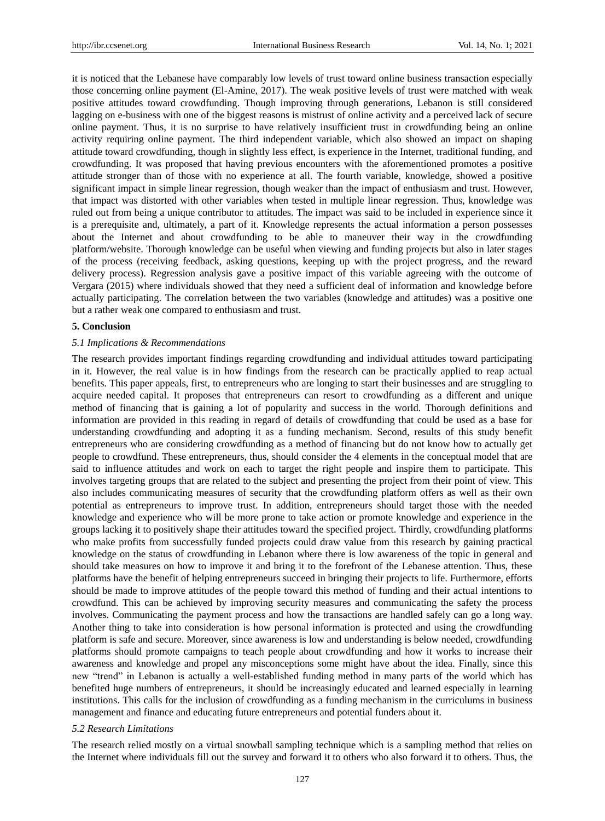it is noticed that the Lebanese have comparably low levels of trust toward online business transaction especially those concerning online payment (El-Amine, 2017). The weak positive levels of trust were matched with weak positive attitudes toward crowdfunding. Though improving through generations, Lebanon is still considered lagging on e-business with one of the biggest reasons is mistrust of online activity and a perceived lack of secure online payment. Thus, it is no surprise to have relatively insufficient trust in crowdfunding being an online activity requiring online payment. The third independent variable, which also showed an impact on shaping attitude toward crowdfunding, though in slightly less effect, is experience in the Internet, traditional funding, and crowdfunding. It was proposed that having previous encounters with the aforementioned promotes a positive attitude stronger than of those with no experience at all. The fourth variable, knowledge, showed a positive significant impact in simple linear regression, though weaker than the impact of enthusiasm and trust. However, that impact was distorted with other variables when tested in multiple linear regression. Thus, knowledge was ruled out from being a unique contributor to attitudes. The impact was said to be included in experience since it is a prerequisite and, ultimately, a part of it. Knowledge represents the actual information a person possesses about the Internet and about crowdfunding to be able to maneuver their way in the crowdfunding platform/website. Thorough knowledge can be useful when viewing and funding projects but also in later stages of the process (receiving feedback, asking questions, keeping up with the project progress, and the reward delivery process). Regression analysis gave a positive impact of this variable agreeing with the outcome of Vergara (2015) where individuals showed that they need a sufficient deal of information and knowledge before actually participating. The correlation between the two variables (knowledge and attitudes) was a positive one but a rather weak one compared to enthusiasm and trust.

#### **5. Conclusion**

#### *5.1 Implications & Recommendations*

The research provides important findings regarding crowdfunding and individual attitudes toward participating in it. However, the real value is in how findings from the research can be practically applied to reap actual benefits. This paper appeals, first, to entrepreneurs who are longing to start their businesses and are struggling to acquire needed capital. It proposes that entrepreneurs can resort to crowdfunding as a different and unique method of financing that is gaining a lot of popularity and success in the world. Thorough definitions and information are provided in this reading in regard of details of crowdfunding that could be used as a base for understanding crowdfunding and adopting it as a funding mechanism. Second, results of this study benefit entrepreneurs who are considering crowdfunding as a method of financing but do not know how to actually get people to crowdfund. These entrepreneurs, thus, should consider the 4 elements in the conceptual model that are said to influence attitudes and work on each to target the right people and inspire them to participate. This involves targeting groups that are related to the subject and presenting the project from their point of view. This also includes communicating measures of security that the crowdfunding platform offers as well as their own potential as entrepreneurs to improve trust. In addition, entrepreneurs should target those with the needed knowledge and experience who will be more prone to take action or promote knowledge and experience in the groups lacking it to positively shape their attitudes toward the specified project. Thirdly, crowdfunding platforms who make profits from successfully funded projects could draw value from this research by gaining practical knowledge on the status of crowdfunding in Lebanon where there is low awareness of the topic in general and should take measures on how to improve it and bring it to the forefront of the Lebanese attention. Thus, these platforms have the benefit of helping entrepreneurs succeed in bringing their projects to life. Furthermore, efforts should be made to improve attitudes of the people toward this method of funding and their actual intentions to crowdfund. This can be achieved by improving security measures and communicating the safety the process involves. Communicating the payment process and how the transactions are handled safely can go a long way. Another thing to take into consideration is how personal information is protected and using the crowdfunding platform is safe and secure. Moreover, since awareness is low and understanding is below needed, crowdfunding platforms should promote campaigns to teach people about crowdfunding and how it works to increase their awareness and knowledge and propel any misconceptions some might have about the idea. Finally, since this new "trend" in Lebanon is actually a well-established funding method in many parts of the world which has benefited huge numbers of entrepreneurs, it should be increasingly educated and learned especially in learning institutions. This calls for the inclusion of crowdfunding as a funding mechanism in the curriculums in business management and finance and educating future entrepreneurs and potential funders about it.

#### *5.2 Research Limitations*

The research relied mostly on a virtual snowball sampling technique which is a sampling method that relies on the Internet where individuals fill out the survey and forward it to others who also forward it to others. Thus, the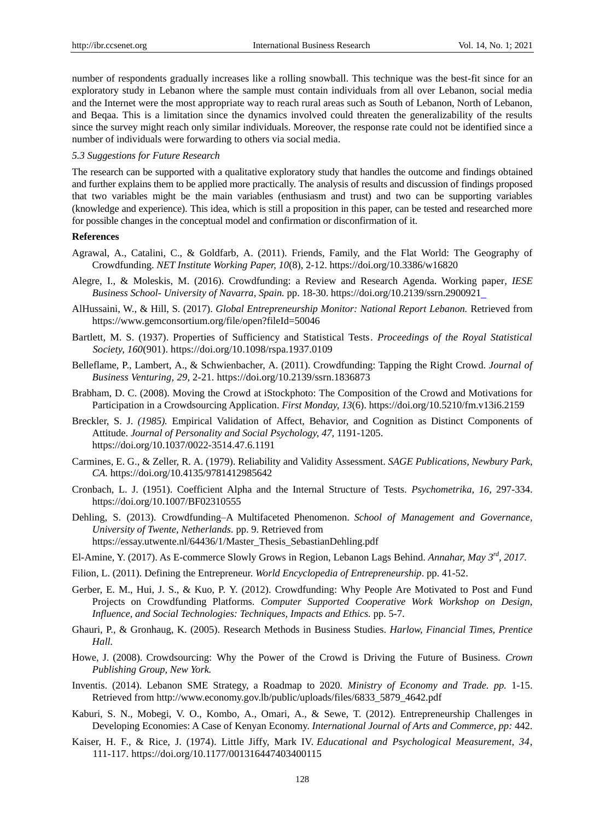number of respondents gradually increases like a rolling snowball. This technique was the best-fit since for an exploratory study in Lebanon where the sample must contain individuals from all over Lebanon, social media and the Internet were the most appropriate way to reach rural areas such as South of Lebanon, North of Lebanon, and Beqaa. This is a limitation since the dynamics involved could threaten the generalizability of the results since the survey might reach only similar individuals. Moreover, the response rate could not be identified since a number of individuals were forwarding to others via social media.

# *5.3 Suggestions for Future Research*

The research can be supported with a qualitative exploratory study that handles the outcome and findings obtained and further explains them to be applied more practically. The analysis of results and discussion of findings proposed that two variables might be the main variables (enthusiasm and trust) and two can be supporting variables (knowledge and experience). This idea, which is still a proposition in this paper, can be tested and researched more for possible changes in the conceptual model and confirmation or disconfirmation of it.

## **References**

- Agrawal, A., Catalini, C., & Goldfarb, A. (2011). Friends, Family, and the Flat World: The Geography of Crowdfunding. *NET Institute Working Paper, 10*(8)*,* 2-12. https://doi.org/10.3386/w16820
- Alegre, I., & Moleskis, M. (2016). Crowdfunding: a Review and Research Agenda. Working paper*, IESE Business School- University of Navarra, Spain.* pp. 18-30. https://doi.org/10.2139/ssrn.2900921
- AlHussaini, W., & Hill, S. (2017). *Global Entrepreneurship Monitor: National Report Lebanon.* Retrieved from <https://www.gemconsortium.org/file/open?fileId=50046>
- Bartlett, M. S. (1937). Properties of Sufficiency and Statistical Tests*. Proceedings of the Royal Statistical Society, 160*(901). https://doi.org/10.1098/rspa.1937.0109
- Belleflame, P., Lambert, A., & Schwienbacher, A. (2011). Crowdfunding: Tapping the Right Crowd. *Journal of Business Venturing, 29,* 2-21. https://doi.org/10.2139/ssrn.1836873
- Brabham, D. C. (2008). Moving the Crowd at iStockphoto: The Composition of the Crowd and Motivations for Participation in a Crowdsourcing Application. *First Monday, 13*(6). https://doi.org/10.5210/fm.v13i6.2159
- Breckler, S. J. *(1985).* [Empirical Validation of Affect, Behavior, and Cognition as Distinct Components of](http://psycnet.apa.org/record/1985-12049-001)  [Attitude.](http://psycnet.apa.org/record/1985-12049-001) *Journal of Personality and Social Psychology, 47,* 1191-1205. https://doi.org/10.1037/0022-3514.47.6.1191
- Carmines, E. G., & Zeller, R. A. (1979). Reliability and Validity Assessment. *SAGE Publications, Newbury Park, CA.* https://doi.org/10.4135/9781412985642
- Cronbach, L. J. (1951). Coefficient Alpha and the Internal Structure of Tests. *Psychometrika*, *16,* 297-334. https://doi.org/10.1007/BF02310555
- Dehling, S. (2013). Crowdfunding–A Multifaceted Phenomenon. *School of Management and Governance, University of Twente, Netherlands.* pp. 9. Retrieved from [https://essay.utwente.nl/64436/1/Master\\_Thesis\\_SebastianDehling.pdf](https://essay.utwente.nl/64436/1/Master_Thesis_SebastianDehling.pdf)
- El-Amine, Y. (2017). As E-commerce Slowly Grows in Region, Lebanon Lags Behind. *Annahar, May 3rd, 2017.*
- Filion, L. (2011). Defining the Entrepreneur. *World Encyclopedia of Entrepreneurship*. pp. 41-52.
- Gerber, E. M., Hui, J. S., & Kuo, P. Y. (2012). Crowdfunding: Why People Are Motivated to Post and Fund Projects on Crowdfunding Platforms. *Computer Supported Cooperative Work Workshop on Design, Influence, and Social Technologies: Techniques, Impacts and Ethics.* pp. 5-7.
- Ghauri, P., & Gronhaug, K. (2005). Research Methods in Business Studies. *Harlow, Financial Times, Prentice Hall.*
- Howe, J. (2008). Crowdsourcing: Why the Power of the Crowd is Driving the Future of Business. *Crown Publishing Group, New York.*
- Inventis. (2014). Lebanon SME Strategy, a Roadmap to 2020*. Ministry of Economy and Trade. pp.* 1-15. Retrieved from http://www.economy.gov.lb/public/uploads/files/6833\_5879\_4642.pdf
- Kaburi, S. N., Mobegi, V. O., Kombo, A., Omari, A., & Sewe, T. (2012). Entrepreneurship Challenges in Developing Economies: A Case of Kenyan Economy. *International Journal of Arts and Commerce, pp:* 442.
- Kaiser, H. F., & Rice, J. (1974). Little Jiffy, Mark IV. *Educational and Psychological Measurement, 34*, 111-117. https://doi.org/10.1177/001316447403400115